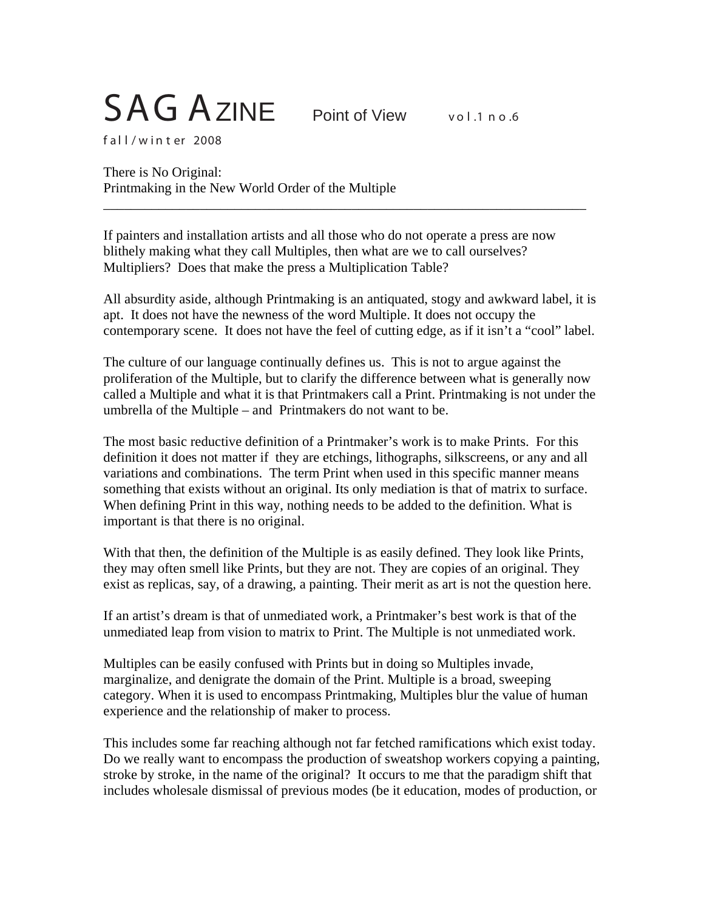## SAG AZINE Point of View vol.1 no.6

f al l / w in t er 2008

There is No Original: Printmaking in the New World Order of the Multiple

If painters and installation artists and all those who do not operate a press are now blithely making what they call Multiples, then what are we to call ourselves? Multipliers? Does that make the press a Multiplication Table?

\_\_\_\_\_\_\_\_\_\_\_\_\_\_\_\_\_\_\_\_\_\_\_\_\_\_\_\_\_\_\_\_\_\_\_\_\_\_\_\_\_\_\_\_\_\_\_\_\_\_\_\_\_\_\_\_\_\_\_\_\_\_\_\_\_\_\_\_\_\_

All absurdity aside, although Printmaking is an antiquated, stogy and awkward label, it is apt. It does not have the newness of the word Multiple. It does not occupy the contemporary scene. It does not have the feel of cutting edge, as if it isn't a "cool" label.

The culture of our language continually defines us. This is not to argue against the proliferation of the Multiple, but to clarify the difference between what is generally now called a Multiple and what it is that Printmakers call a Print. Printmaking is not under the umbrella of the Multiple – and Printmakers do not want to be.

The most basic reductive definition of a Printmaker's work is to make Prints. For this definition it does not matter if they are etchings, lithographs, silkscreens, or any and all variations and combinations. The term Print when used in this specific manner means something that exists without an original. Its only mediation is that of matrix to surface. When defining Print in this way, nothing needs to be added to the definition. What is important is that there is no original.

With that then, the definition of the Multiple is as easily defined. They look like Prints, they may often smell like Prints, but they are not. They are copies of an original. They exist as replicas, say, of a drawing, a painting. Their merit as art is not the question here.

If an artist's dream is that of unmediated work, a Printmaker's best work is that of the unmediated leap from vision to matrix to Print. The Multiple is not unmediated work.

Multiples can be easily confused with Prints but in doing so Multiples invade, marginalize, and denigrate the domain of the Print. Multiple is a broad, sweeping category. When it is used to encompass Printmaking, Multiples blur the value of human experience and the relationship of maker to process.

This includes some far reaching although not far fetched ramifications which exist today. Do we really want to encompass the production of sweatshop workers copying a painting, stroke by stroke, in the name of the original? It occurs to me that the paradigm shift that includes wholesale dismissal of previous modes (be it education, modes of production, or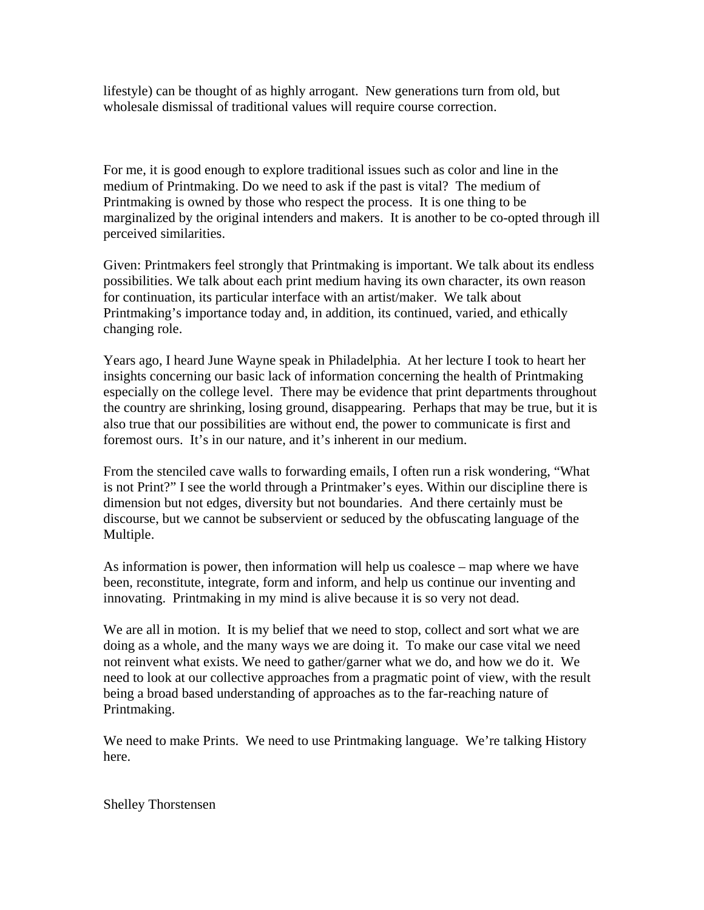lifestyle) can be thought of as highly arrogant. New generations turn from old, but wholesale dismissal of traditional values will require course correction.

For me, it is good enough to explore traditional issues such as color and line in the medium of Printmaking. Do we need to ask if the past is vital? The medium of Printmaking is owned by those who respect the process. It is one thing to be marginalized by the original intenders and makers. It is another to be co-opted through ill perceived similarities.

Given: Printmakers feel strongly that Printmaking is important. We talk about its endless possibilities. We talk about each print medium having its own character, its own reason for continuation, its particular interface with an artist/maker. We talk about Printmaking's importance today and, in addition, its continued, varied, and ethically changing role.

Years ago, I heard June Wayne speak in Philadelphia. At her lecture I took to heart her insights concerning our basic lack of information concerning the health of Printmaking especially on the college level. There may be evidence that print departments throughout the country are shrinking, losing ground, disappearing. Perhaps that may be true, but it is also true that our possibilities are without end, the power to communicate is first and foremost ours. It's in our nature, and it's inherent in our medium.

From the stenciled cave walls to forwarding emails, I often run a risk wondering, "What is not Print?" I see the world through a Printmaker's eyes. Within our discipline there is dimension but not edges, diversity but not boundaries. And there certainly must be discourse, but we cannot be subservient or seduced by the obfuscating language of the Multiple.

As information is power, then information will help us coalesce – map where we have been, reconstitute, integrate, form and inform, and help us continue our inventing and innovating. Printmaking in my mind is alive because it is so very not dead.

We are all in motion. It is my belief that we need to stop, collect and sort what we are doing as a whole, and the many ways we are doing it. To make our case vital we need not reinvent what exists. We need to gather/garner what we do, and how we do it. We need to look at our collective approaches from a pragmatic point of view, with the result being a broad based understanding of approaches as to the far-reaching nature of Printmaking.

We need to make Prints. We need to use Printmaking language. We're talking History here.

Shelley Thorstensen